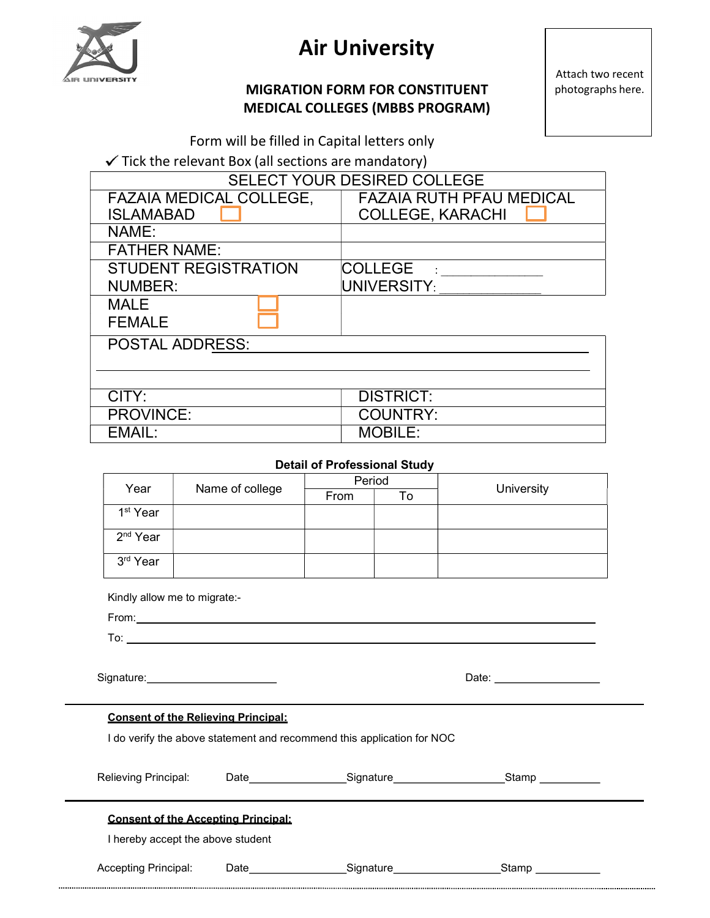

# Air University

# MIGRATION FORM FOR CONSTITUENT MEDICAL COLLEGES (MBBS PROGRAM)

Attach two recent photographs here.

Form will be filled in Capital letters only

 $\checkmark$  Tick the relevant Box (all sections are mandatory)

| <b>SELECT YOUR DESIRED COLLEGE</b> |
|------------------------------------|
| <b>FAZAIA RUTH PFAU MEDICAL</b>    |
| <b>COLLEGE, KARACHI</b>            |
|                                    |
|                                    |
| <b>COLLEGE</b>                     |
| UNIVERSITY:                        |
|                                    |
|                                    |
|                                    |
|                                    |
|                                    |
| <b>DISTRICT:</b>                   |
| <b>COUNTRY:</b>                    |
| <b>MOBILE:</b>                     |
|                                    |

## Detail of Professional Study

| Year                 |                 |      | Period |            |  |  |  |
|----------------------|-----------------|------|--------|------------|--|--|--|
|                      | Name of college | From | To     | University |  |  |  |
| 1 <sup>st</sup> Year |                 |      |        |            |  |  |  |
| 2 <sup>nd</sup> Year |                 |      |        |            |  |  |  |
| 3rd Year             |                 |      |        |            |  |  |  |

Kindly allow me to migrate:-

From:

To:

Signature: <u>Date: Date: Date: Date: Date: Date: Date: Date: Date: Date: Date: Date: Date: Date: Date: Date: Da</u>

| Date: |  |
|-------|--|
|       |  |

### Consent of the Relieving Principal:

I do verify the above statement and recommend this application for NOC

| Relieving Principal:                                                            | Date | Signature | Stamp |  |
|---------------------------------------------------------------------------------|------|-----------|-------|--|
| <b>Consent of the Accepting Principal:</b><br>I hereby accept the above student |      |           |       |  |
| <b>Accepting Principal:</b>                                                     | Date | Signature | Stamp |  |